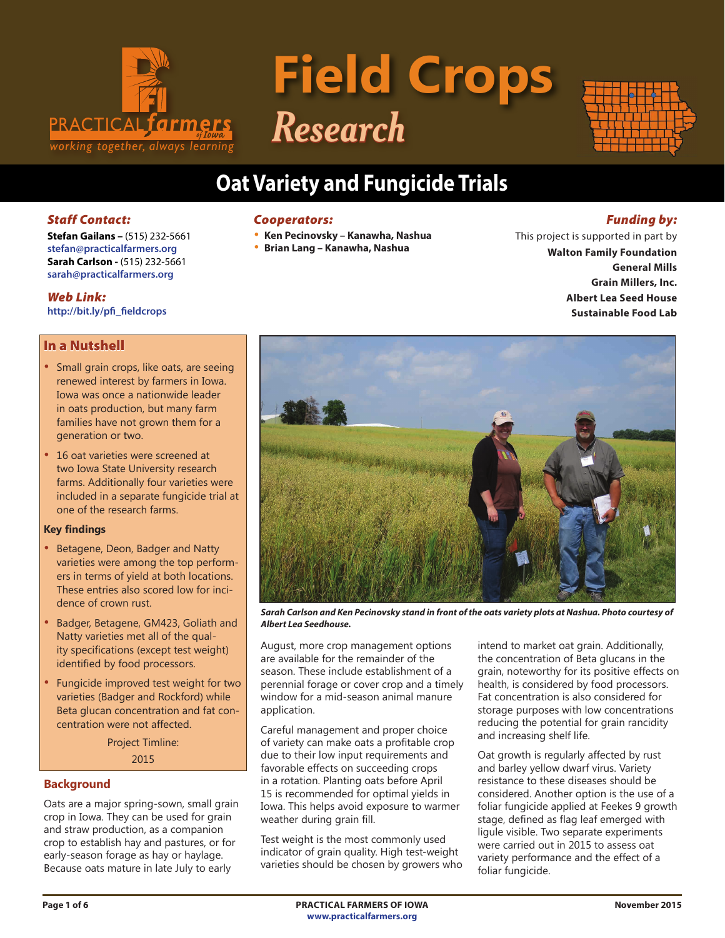

# **Field Crops** *Research*



# **Oat Variety and Fungicide Trials**

# *Staff Contact:*

**Stefan Gailans –** (515) 232-5661 **stefan@practicalfarmers.org Sarah Carlson -** (515) 232-5661 **sarah@practicalfarmers.org**

#### *Web Link:*

**http://bit.ly/pfi\_fieldcrops**

# In a Nutshell

- Small grain crops, like oats, are seeing renewed interest by farmers in Iowa. Iowa was once a nationwide leader in oats production, but many farm families have not grown them for a generation or two.
- 16 oat varieties were screened at two Iowa State University research farms. Additionally four varieties were included in a separate fungicide trial at one of the research farms.

#### **Key findings**

- Betagene, Deon, Badger and Natty varieties were among the top performers in terms of yield at both locations. These entries also scored low for incidence of crown rust.
- Badger, Betagene, GM423, Goliath and Natty varieties met all of the quality specifications (except test weight) identified by food processors.
- Fungicide improved test weight for two varieties (Badger and Rockford) while Beta glucan concentration and fat concentration were not affected.

Project Timline: 2015

# **Background**

Oats are a major spring-sown, small grain crop in Iowa. They can be used for grain and straw production, as a companion crop to establish hay and pastures, or for early-season forage as hay or haylage. Because oats mature in late July to early

#### *Cooperators:*

- **Ken Pecinovsky Kanawha, Nashua**
- **Brian Lang Kanawha, Nashua**

# *Funding by:*

This project is supported in part by **Walton Family Foundation General Mills Grain Millers, Inc. Albert Lea Seed House Sustainable Food Lab**



*Sarah Carlson and Ken Pecinovsky stand in front of the oats variety plots at Nashua. Photo courtesy of Albert Lea Seedhouse.*

August, more crop management options are available for the remainder of the season. These include establishment of a perennial forage or cover crop and a timely window for a mid-season animal manure application.

Careful management and proper choice of variety can make oats a profitable crop due to their low input requirements and favorable effects on succeeding crops in a rotation. Planting oats before April 15 is recommended for optimal yields in Iowa. This helps avoid exposure to warmer weather during grain fill.

Test weight is the most commonly used indicator of grain quality. High test-weight varieties should be chosen by growers who

intend to market oat grain. Additionally, the concentration of Beta glucans in the grain, noteworthy for its positive effects on health, is considered by food processors. Fat concentration is also considered for storage purposes with low concentrations reducing the potential for grain rancidity and increasing shelf life.

Oat growth is regularly affected by rust and barley yellow dwarf virus. Variety resistance to these diseases should be considered. Another option is the use of a foliar fungicide applied at Feekes 9 growth stage, defined as flag leaf emerged with ligule visible. Two separate experiments were carried out in 2015 to assess oat variety performance and the effect of a foliar fungicide.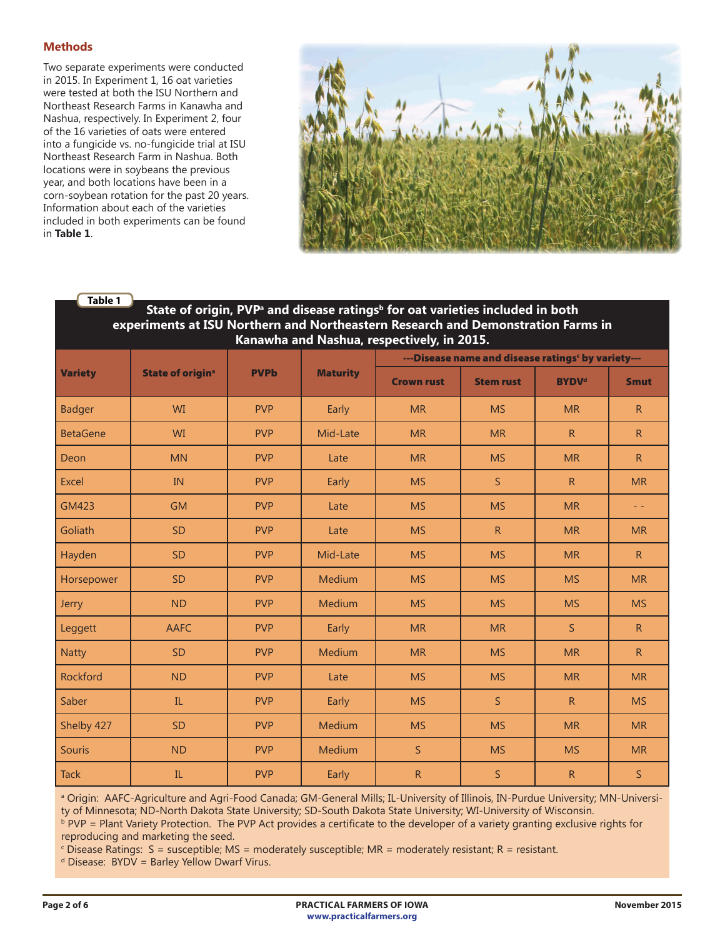# **Methods**

Two separate experiments were conducted in 2015. In Experiment 1, 16 oat varieties were tested at both the ISU Northern and Northeast Research Farms in Kanawha and Nashua, respectively. In Experiment 2, four of the 16 varieties of oats were entered into a fungicide vs. no-fungicide trial at ISU Northeast Research Farm in Nashua. Both locations were in soybeans the previous year, and both locations have been in a corn-soybean rotation for the past 20 years. Information about each of the varieties included in both experiments can be found in **Table 1**.



#### State of origin, PVP<sup>a</sup> and disease ratings<sup>b</sup> for oat varieties included in both **experiments at ISU Northern and Northeastern Research and Demonstration Farms in Kanawha and Nashua, respectively, in 2015. Table 1**

|                 |                                    |             |                 | ---Disease name and disease ratings' by variety--- |                  |                         |                           |  |  |  |
|-----------------|------------------------------------|-------------|-----------------|----------------------------------------------------|------------------|-------------------------|---------------------------|--|--|--|
| <b>Variety</b>  | <b>State of origin<sup>a</sup></b> | <b>PVPb</b> | <b>Maturity</b> | <b>Crown rust</b>                                  | <b>Stem rust</b> | <b>BYDV<sup>d</sup></b> | <b>Smut</b>               |  |  |  |
| <b>Badger</b>   | WI                                 | <b>PVP</b>  | Early           | <b>MR</b>                                          | <b>MS</b>        | <b>MR</b>               | R                         |  |  |  |
| <b>BetaGene</b> | <b>WI</b>                          | <b>PVP</b>  | Mid-Late        | <b>MR</b>                                          | <b>MR</b>        | R                       | R                         |  |  |  |
| Deon            | <b>MN</b>                          | <b>PVP</b>  | Late            | <b>MR</b>                                          | <b>MS</b>        | <b>MR</b>               | $\mathsf{R}$              |  |  |  |
| <b>Excel</b>    | IN                                 | <b>PVP</b>  | Early           | <b>MS</b>                                          | $\mathsf{S}$     | R                       | <b>MR</b>                 |  |  |  |
| <b>GM423</b>    | <b>GM</b>                          | <b>PVP</b>  | Late            | <b>MS</b>                                          | <b>MS</b>        | <b>MR</b>               | $\omega_{\rm c}$ $\omega$ |  |  |  |
| Goliath         | <b>SD</b>                          | <b>PVP</b>  | Late            | <b>MS</b>                                          | R                | <b>MR</b>               | <b>MR</b>                 |  |  |  |
| Hayden          | <b>SD</b>                          | <b>PVP</b>  | Mid-Late        | <b>MS</b>                                          | <b>MS</b>        | <b>MR</b>               | $\mathsf{R}$              |  |  |  |
| Horsepower      | <b>SD</b>                          | <b>PVP</b>  | Medium          | <b>MS</b>                                          | <b>MS</b>        | <b>MS</b>               | <b>MR</b>                 |  |  |  |
| <b>Jerry</b>    | <b>ND</b>                          | <b>PVP</b>  | Medium          | <b>MS</b>                                          | <b>MS</b>        | <b>MS</b>               | <b>MS</b>                 |  |  |  |
| Leggett         | <b>AAFC</b>                        | <b>PVP</b>  | Early           | <b>MR</b>                                          | <b>MR</b>        | $\mathsf{S}$            | $\mathsf{R}$              |  |  |  |
| <b>Natty</b>    | <b>SD</b>                          | <b>PVP</b>  | Medium          | <b>MR</b>                                          | <b>MS</b>        | <b>MR</b>               | $\overline{R}$            |  |  |  |
| Rockford        | <b>ND</b>                          | <b>PVP</b>  | Late            | <b>MS</b>                                          | <b>MS</b>        | <b>MR</b>               | <b>MR</b>                 |  |  |  |
| Saber           | IL.                                | <b>PVP</b>  | Early           | <b>MS</b>                                          | $\mathsf{S}$     | R                       | <b>MS</b>                 |  |  |  |
| Shelby 427      | <b>SD</b>                          | <b>PVP</b>  | Medium          | <b>MS</b>                                          | <b>MS</b>        | <b>MR</b>               | <b>MR</b>                 |  |  |  |
| Souris          | <b>ND</b>                          | <b>PVP</b>  | Medium          | S.                                                 | <b>MS</b>        | <b>MS</b>               | <b>MR</b>                 |  |  |  |
| <b>Tack</b>     | IL                                 | <b>PVP</b>  | Early           | R                                                  | S                | $\mathsf{R}$            | $\mathsf{S}$              |  |  |  |

a Origin: AAFC-Agriculture and Agri-Food Canada; GM-General Mills; IL-University of Illinois, IN-Purdue University; MN-University of Minnesota; ND-North Dakota State University; SD-South Dakota State University; WI-University of Wisconsin.

**PVP = Plant Variety Protection. The PVP Act provides a certificate to the developer of a variety granting exclusive rights for** reproducing and marketing the seed.

 $\epsilon$  Disease Ratings: S = susceptible; MS = moderately susceptible; MR = moderately resistant; R = resistant.

 $d$  Disease: BYDV = Barley Yellow Dwarf Virus.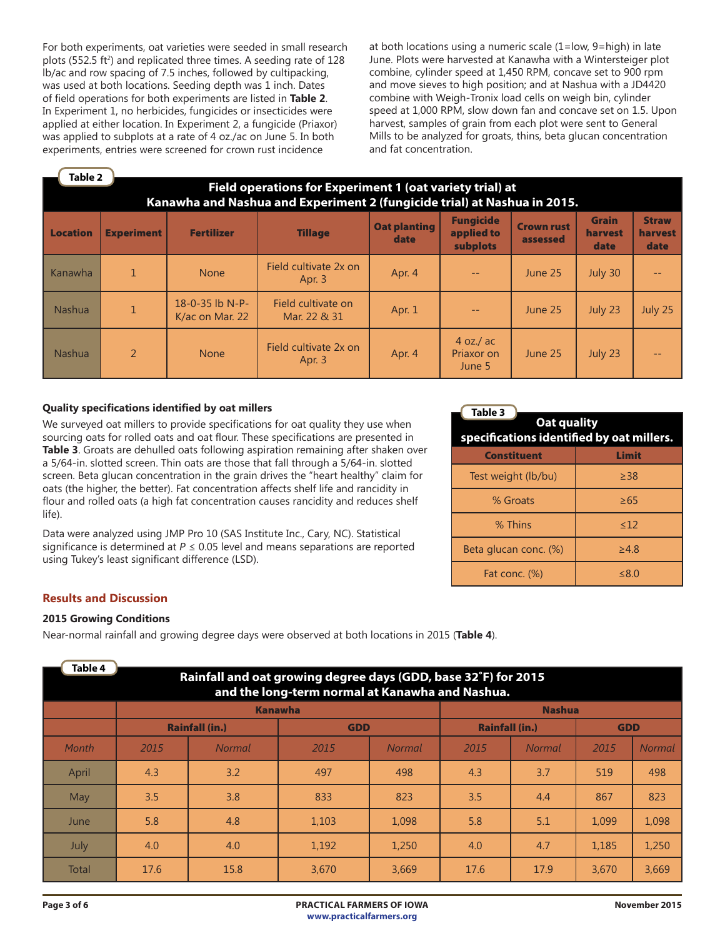For both experiments, oat varieties were seeded in small research plots (552.5 ft<sup>2</sup>) and replicated three times. A seeding rate of 128 lb/ac and row spacing of 7.5 inches, followed by cultipacking, was used at both locations. Seeding depth was 1 inch. Dates of field operations for both experiments are listed in **Table 2**. In Experiment 1, no herbicides, fungicides or insecticides were applied at either location. In Experiment 2, a fungicide (Priaxor) was applied to subplots at a rate of 4 oz./ac on June 5. In both experiments, entries were screened for crown rust incidence

at both locations using a numeric scale (1=low, 9=high) in late June. Plots were harvested at Kanawha with a Wintersteiger plot combine, cylinder speed at 1,450 RPM, concave set to 900 rpm and move sieves to high position; and at Nashua with a JD4420 combine with Weigh-Tronix load cells on weigh bin, cylinder speed at 1,000 RPM, slow down fan and concave set on 1.5. Upon harvest, samples of grain from each plot were sent to General Mills to be analyzed for groats, thins, beta glucan concentration and fat concentration.

| Table 2<br>Field operations for Experiment 1 (oat variety trial) at<br>Kanawha and Nashua and Experiment 2 (fungicide trial) at Nashua in 2015. |                   |                                                |                                    |                             |                                            |                               |                                 |                                 |  |  |
|-------------------------------------------------------------------------------------------------------------------------------------------------|-------------------|------------------------------------------------|------------------------------------|-----------------------------|--------------------------------------------|-------------------------------|---------------------------------|---------------------------------|--|--|
| <b>Location</b>                                                                                                                                 | <b>Experiment</b> | <b>Fertilizer</b>                              | <b>Tillage</b>                     | <b>Oat planting</b><br>date | <b>Fungicide</b><br>applied to<br>subplots | <b>Crown rust</b><br>assessed | <b>Grain</b><br>harvest<br>date | <b>Straw</b><br>harvest<br>date |  |  |
| Kanawha                                                                                                                                         | 1                 | <b>None</b>                                    | Field cultivate 2x on<br>Apr. $3$  | Apr. 4                      |                                            | June 25                       | July 30                         |                                 |  |  |
| <b>Nashua</b>                                                                                                                                   | $\mathbf{1}$      | 18-0-35 $\overline{b}$ N-P-<br>K/ac on Mar. 22 | Field cultivate on<br>Mar. 22 & 31 | Apr. 1                      | $ -$                                       | June 25                       | July 23                         | July 25                         |  |  |
| <b>Nashua</b>                                                                                                                                   | $\overline{2}$    | <b>None</b>                                    | Field cultivate 2x on<br>Apr. 3    | Apr. 4                      | $4$ oz./ ac<br>Priaxor on<br>June 5        | June 25                       | July 23                         |                                 |  |  |

#### **Quality specifications identified by oat millers**

We surveyed oat millers to provide specifications for oat quality they use when sourcing oats for rolled oats and oat flour. These specifications are presented in **Table 3**. Groats are dehulled oats following aspiration remaining after shaken over a 5/64-in. slotted screen. Thin oats are those that fall through a 5/64-in. slotted screen. Beta glucan concentration in the grain drives the "heart healthy" claim for oats (the higher, the better). Fat concentration affects shelf life and rancidity in flour and rolled oats (a high fat concentration causes rancidity and reduces shelf life).

Data were analyzed using JMP Pro 10 (SAS Institute Inc., Cary, NC). Statistical significance is determined at  $P \le 0.05$  level and means separations are reported using Tukey's least significant difference (LSD).

| Table 3<br>Oat quality<br>specifications identified by oat millers. |            |  |  |  |  |  |  |  |
|---------------------------------------------------------------------|------------|--|--|--|--|--|--|--|
| <b>Constituent</b>                                                  | Limit      |  |  |  |  |  |  |  |
| Test weight (lb/bu)                                                 | $\geq$ 38  |  |  |  |  |  |  |  |
| % Groats                                                            | $\geq 65$  |  |  |  |  |  |  |  |
| % Thins                                                             | <12        |  |  |  |  |  |  |  |
| Beta glucan conc. (%)                                               | $\geq 4.8$ |  |  |  |  |  |  |  |
| Fat conc. (%)                                                       | < 8.0      |  |  |  |  |  |  |  |

# **Results and Discussion**

#### **2015 Growing Conditions**

Near-normal rainfall and growing degree days were observed at both locations in 2015 (**Table 4**).

| Table 4 |                                                                                                                   |                       |                                     |               |      |               |       |        |  |  |  |
|---------|-------------------------------------------------------------------------------------------------------------------|-----------------------|-------------------------------------|---------------|------|---------------|-------|--------|--|--|--|
|         | Rainfall and oat growing degree days (GDD, base 32°F) for 2015<br>and the long-term normal at Kanawha and Nashua. |                       |                                     |               |      |               |       |        |  |  |  |
|         | <b>Nashua</b><br><b>Kanawha</b>                                                                                   |                       |                                     |               |      |               |       |        |  |  |  |
|         |                                                                                                                   | <b>Rainfall (in.)</b> | <b>Rainfall (in.)</b><br><b>GDD</b> |               |      |               |       |        |  |  |  |
| Month   | 2015                                                                                                              | Normal                | 2015                                | <b>Normal</b> | 2015 | <b>Normal</b> | 2015  | Normal |  |  |  |
| April   | 4.3                                                                                                               | 3.2                   | 497                                 | 498           | 4.3  | 3.7           | 519   | 498    |  |  |  |
| May     | 3.5                                                                                                               | 3.8                   | 833                                 | 823           | 3.5  | 4.4           | 867   | 823    |  |  |  |
| June    | 5.8                                                                                                               | 4.8                   | 1,103                               | 1,098         | 5.8  | 5.1           | 1,099 | 1,098  |  |  |  |
| July    | 4.0                                                                                                               | 4.0                   | 1,192                               | 1,250         | 4.0  | 4.7           | 1.185 | 1,250  |  |  |  |
| Total   | 17.6                                                                                                              | 15.8                  | 3,670                               | 3,669         | 17.6 | 17.9          | 3,670 | 3,669  |  |  |  |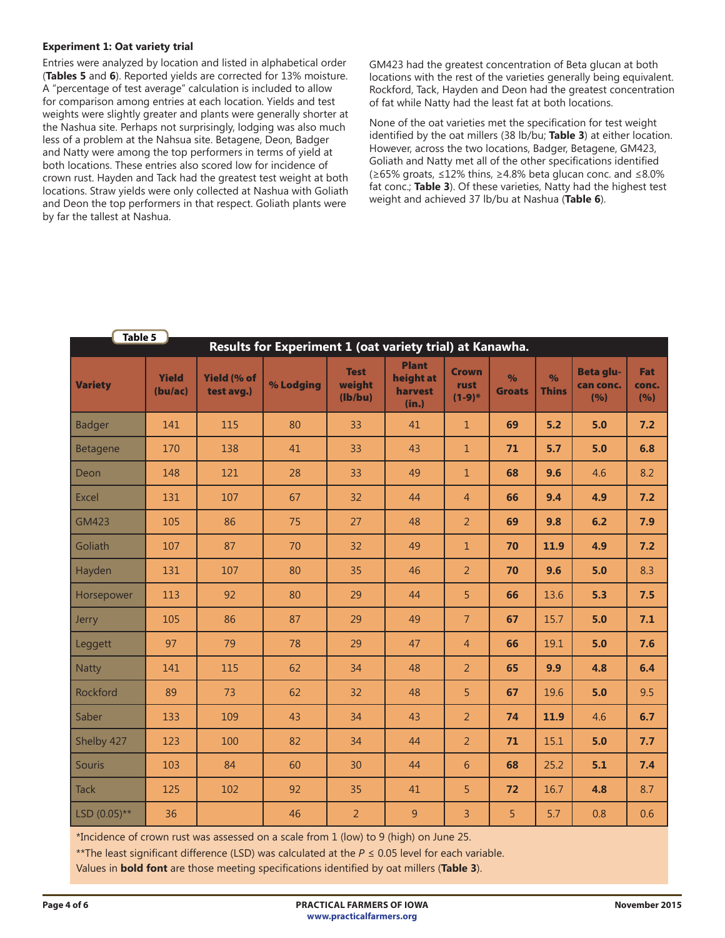#### **Experiment 1: Oat variety trial**

Entries were analyzed by location and listed in alphabetical order (**Tables 5** and **6**). Reported yields are corrected for 13% moisture. A "percentage of test average" calculation is included to allow for comparison among entries at each location. Yields and test weights were slightly greater and plants were generally shorter at the Nashua site. Perhaps not surprisingly, lodging was also much less of a problem at the Nahsua site. Betagene, Deon, Badger and Natty were among the top performers in terms of yield at both locations. These entries also scored low for incidence of crown rust. Hayden and Tack had the greatest test weight at both locations. Straw yields were only collected at Nashua with Goliath and Deon the top performers in that respect. Goliath plants were by far the tallest at Nashua.

GM423 had the greatest concentration of Beta glucan at both locations with the rest of the varieties generally being equivalent. Rockford, Tack, Hayden and Deon had the greatest concentration of fat while Natty had the least fat at both locations.

None of the oat varieties met the specification for test weight identified by the oat millers (38 lb/bu; **Table 3**) at either location. However, across the two locations, Badger, Betagene, GM423, Goliath and Natty met all of the other specifications identified (≥65% groats, ≤12% thins, ≥4.8% beta glucan conc. and ≤8.0% fat conc.; **Table 3**). Of these varieties, Natty had the highest test weight and achieved 37 lb/bu at Nashua (**Table 6**).

| Table 5<br>Results for Experiment 1 (oat variety trial) at Kanawha. |                         |                                  |           |                                  |                                               |                                  |                                |                               |                                        |                     |
|---------------------------------------------------------------------|-------------------------|----------------------------------|-----------|----------------------------------|-----------------------------------------------|----------------------------------|--------------------------------|-------------------------------|----------------------------------------|---------------------|
| <b>Variety</b>                                                      | <b>Yield</b><br>(bu/ac) | <b>Yield (% of</b><br>test avg.) | % Lodging | <b>Test</b><br>weight<br>(lb/bu) | <b>Plant</b><br>height at<br>harvest<br>(in.) | <b>Crown</b><br>rust<br>$(1-9)*$ | $\frac{1}{2}$<br><b>Groats</b> | $\frac{9}{6}$<br><b>Thins</b> | <b>Beta glu-</b><br>can conc.<br>(9/6) | Fat<br>conc.<br>(%) |
| <b>Badger</b>                                                       | 141                     | 115                              | 80        | 33                               | 41                                            | $1\,$                            | 69                             | 5.2                           | 5.0                                    | 7.2                 |
| Betagene                                                            | 170                     | 138                              | 41        | 33                               | 43                                            | $\mathbf{1}$                     | 71                             | 5.7                           | 5.0                                    | 6.8                 |
| Deon                                                                | 148                     | 121                              | 28        | 33                               | 49                                            | $\mathbf{1}$                     | 68                             | 9.6                           | 4.6                                    | 8.2                 |
| <b>Excel</b>                                                        | 131                     | 107                              | 67        | 32                               | 44                                            | $\overline{4}$                   | 66                             | 9.4                           | 4.9                                    | 7.2                 |
| <b>GM423</b>                                                        | 105                     | 86                               | 75        | 27                               | 48                                            | $\overline{2}$                   | 69                             | 9.8                           | 6.2                                    | 7.9                 |
| Goliath                                                             | 107                     | 87                               | 70        | 32                               | 49                                            | $\mathbf{1}$                     | 70                             | 11.9                          | 4.9                                    | 7.2                 |
| Hayden                                                              | 131                     | 107                              | 80        | 35                               | 46                                            | $\overline{2}$                   | 70                             | 9.6                           | 5.0                                    | 8.3                 |
| Horsepower                                                          | 113                     | 92                               | 80        | 29                               | 44                                            | 5                                | 66                             | 13.6                          | 5.3                                    | 7.5                 |
| Jerry                                                               | 105                     | 86                               | 87        | 29                               | 49                                            | $\overline{7}$                   | 67                             | 15.7                          | 5.0                                    | 7.1                 |
| Leggett                                                             | 97                      | 79                               | 78        | 29                               | 47                                            | $\overline{4}$                   | 66                             | 19.1                          | 5.0                                    | 7.6                 |
| Natty                                                               | 141                     | 115                              | 62        | 34                               | 48                                            | $\overline{2}$                   | 65                             | 9.9                           | 4.8                                    | 6.4                 |
| <b>Rockford</b>                                                     | 89                      | 73                               | 62        | 32                               | 48                                            | 5                                | 67                             | 19.6                          | 5.0                                    | 9.5                 |
| Saber                                                               | 133                     | 109                              | 43        | 34                               | 43                                            | $\overline{2}$                   | 74                             | 11.9                          | 4.6                                    | 6.7                 |
| Shelby 427                                                          | 123                     | 100                              | 82        | 34                               | 44                                            | $\overline{2}$                   | 71                             | 15.1                          | 5.0                                    | 7.7                 |
| Souris                                                              | 103                     | 84                               | 60        | 30                               | 44                                            | 6                                | 68                             | 25.2                          | 5.1                                    | 7.4                 |
| <b>Tack</b>                                                         | 125                     | 102                              | 92        | 35                               | 41                                            | 5                                | 72                             | 16.7                          | 4.8                                    | 8.7                 |
| LSD (0.05)**                                                        | 36                      |                                  | 46        | $\overline{2}$                   | 9                                             | 3                                | 5                              | 5.7                           | 0.8                                    | 0.6                 |

\*Incidence of crown rust was assessed on a scale from 1 (low) to 9 (high) on June 25.

\*\*The least significant difference (LSD) was calculated at the *P* ≤ 0.05 level for each variable.

Values in **bold font** are those meeting specifications identified by oat millers (**Table 3**).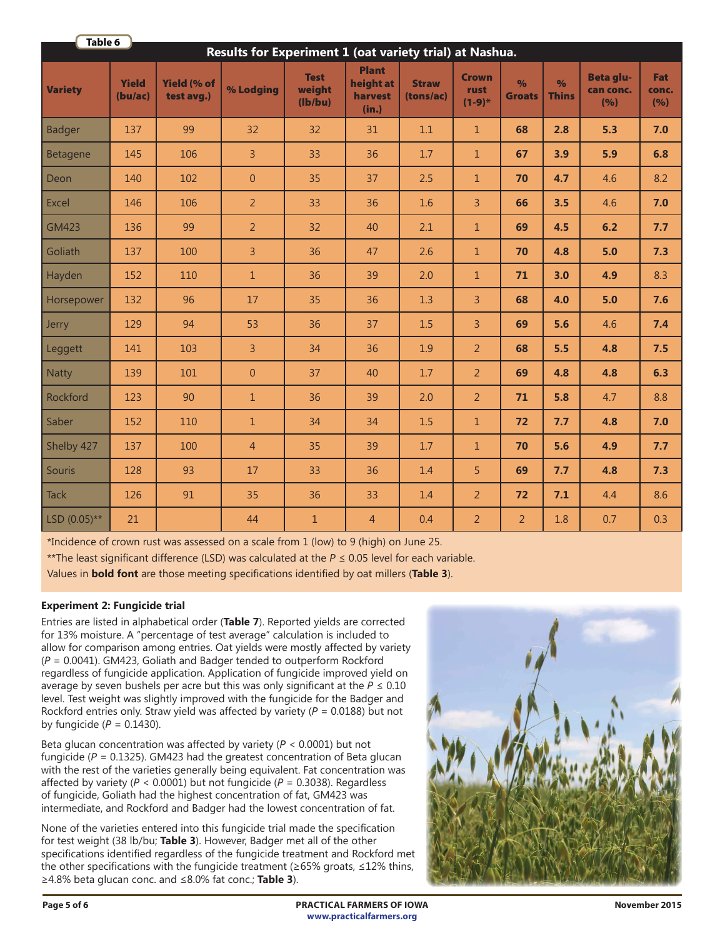| Table 6<br>Results for Experiment 1 (oat variety trial) at Nashua. |                         |                                  |                |                                  |                                               |                           |                                  |                                |                               |                                      |                            |
|--------------------------------------------------------------------|-------------------------|----------------------------------|----------------|----------------------------------|-----------------------------------------------|---------------------------|----------------------------------|--------------------------------|-------------------------------|--------------------------------------|----------------------------|
| <b>Variety</b>                                                     | <b>Yield</b><br>(bu/ac) | <b>Yield (% of</b><br>test avg.) | % Lodging      | <b>Test</b><br>weight<br>(lb/bu) | <b>Plant</b><br>height at<br>harvest<br>(in.) | <b>Straw</b><br>(tons/ac) | <b>Crown</b><br>rust<br>$(1-9)*$ | $\frac{1}{2}$<br><b>Groats</b> | $\frac{9}{6}$<br><b>Thins</b> | <b>Beta glu-</b><br>can conc.<br>(%) | <b>Fat</b><br>conc.<br>(%) |
| <b>Badger</b>                                                      | 137                     | 99                               | 32             | 32                               | 31                                            | 1.1                       | $\mathbf{1}$                     | 68                             | 2.8                           | 5.3                                  | 7.0                        |
| <b>Betagene</b>                                                    | 145                     | 106                              | $\overline{3}$ | 33                               | 36                                            | 1.7                       | $\mathbf{1}$                     | 67                             | 3.9                           | 5.9                                  | 6.8                        |
| Deon                                                               | 140                     | 102                              | $\overline{0}$ | 35                               | 37                                            | 2.5                       | $\mathbf{1}$                     | 70                             | 4.7                           | 4.6                                  | 8.2                        |
| Excel                                                              | 146                     | 106                              | 2              | 33                               | 36                                            | 1.6                       | $\overline{3}$                   | 66                             | 3.5                           | 4.6                                  | 7.0                        |
| <b>GM423</b>                                                       | 136                     | 99                               | $\overline{2}$ | 32                               | 40                                            | 2.1                       | $\mathbf{1}$                     | 69                             | 4.5                           | 6.2                                  | 7.7                        |
| Goliath                                                            | 137                     | 100                              | $\overline{3}$ | 36                               | 47                                            | 2.6                       | $\mathbf{1}$                     | 70                             | 4.8                           | $5.0$                                | 7.3                        |
| Hayden                                                             | 152                     | 110                              | $\mathbf{1}$   | 36                               | 39                                            | 2.0                       | $\mathbf{1}$                     | 71                             | 3.0                           | 4.9                                  | 8.3                        |
| Horsepower                                                         | 132                     | 96                               | 17             | 35                               | 36                                            | 1.3                       | 3                                | 68                             | 4.0                           | 5.0                                  | 7.6                        |
| Jerry                                                              | 129                     | 94                               | 53             | 36                               | 37                                            | 1.5                       | $\overline{3}$                   | 69                             | 5.6                           | 4.6                                  | 7.4                        |
| Leggett                                                            | 141                     | 103                              | $\overline{3}$ | 34                               | 36                                            | 1.9                       | $\overline{2}$                   | 68                             | 5.5                           | 4.8                                  | 7.5                        |
| <b>Natty</b>                                                       | 139                     | 101                              | $\overline{0}$ | 37                               | 40                                            | 1.7                       | $\overline{2}$                   | 69                             | 4.8                           | 4.8                                  | 6.3                        |
| Rockford                                                           | 123                     | 90                               | $\mathbf{1}$   | 36                               | 39                                            | 2.0                       | $\overline{2}$                   | 71                             | 5.8                           | 4.7                                  | 8.8                        |
| Saber                                                              | 152                     | 110                              | $\mathbf{1}$   | 34                               | 34                                            | 1.5                       | $\mathbf{1}$                     | 72                             | 7.7                           | 4.8                                  | 7.0                        |
| Shelby 427                                                         | 137                     | 100                              | $\overline{4}$ | 35                               | 39                                            | 1.7                       | $\mathbf{1}$                     | 70                             | 5.6                           | 4.9                                  | 7.7                        |
| <b>Souris</b>                                                      | 128                     | 93                               | 17             | 33                               | 36                                            | 1.4                       | 5                                | 69                             | 7.7                           | 4.8                                  | 7.3                        |
| <b>Tack</b>                                                        | 126                     | 91                               | 35             | 36                               | 33                                            | 1.4                       | $\overline{2}$                   | 72                             | 7.1                           | 4.4                                  | 8.6                        |
| LSD $(0.05)$ **                                                    | 21                      |                                  | 44             | 1                                | $\overline{4}$                                | 0.4                       | $\overline{2}$                   | $\overline{2}$                 | 1.8                           | 0.7                                  | 0.3                        |

\*Incidence of crown rust was assessed on a scale from 1 (low) to 9 (high) on June 25.

\*\*The least significant difference (LSD) was calculated at the *P* ≤ 0.05 level for each variable.

Values in **bold font** are those meeting specifications identified by oat millers (**Table 3**).

# **Experiment 2: Fungicide trial**

Entries are listed in alphabetical order (**Table 7**). Reported yields are corrected for 13% moisture. A "percentage of test average" calculation is included to allow for comparison among entries. Oat yields were mostly affected by variety (*P* = 0.0041). GM423, Goliath and Badger tended to outperform Rockford regardless of fungicide application. Application of fungicide improved yield on average by seven bushels per acre but this was only significant at the  $P \le 0.10$ level. Test weight was slightly improved with the fungicide for the Badger and Rockford entries only. Straw yield was affected by variety ( $P = 0.0188$ ) but not by fungicide  $(P = 0.1430)$ .

Beta glucan concentration was affected by variety (*P* < 0.0001) but not fungicide (*P* = 0.1325). GM423 had the greatest concentration of Beta glucan with the rest of the varieties generally being equivalent. Fat concentration was affected by variety (*P* < 0.0001) but not fungicide (*P* = 0.3038). Regardless of fungicide, Goliath had the highest concentration of fat, GM423 was intermediate, and Rockford and Badger had the lowest concentration of fat.

None of the varieties entered into this fungicide trial made the specification for test weight (38 lb/bu; **Table 3**). However, Badger met all of the other specifications identified regardless of the fungicide treatment and Rockford met the other specifications with the fungicide treatment (≥65% groats, ≤12% thins, ≥4.8% beta glucan conc. and ≤8.0% fat conc.; **Table 3**).